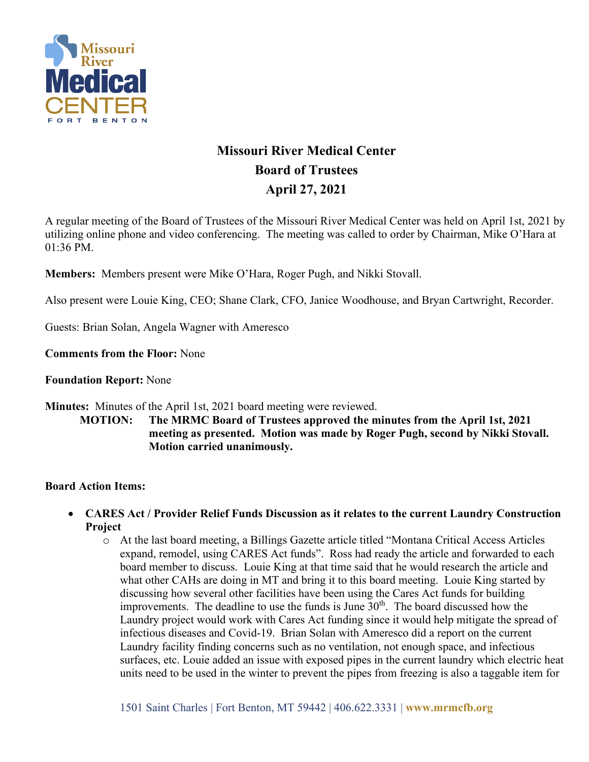

# **Missouri River Medical Center Board of Trustees April 27, 2021**

A regular meeting of the Board of Trustees of the Missouri River Medical Center was held on April 1st, 2021 by utilizing online phone and video conferencing. The meeting was called to order by Chairman, Mike O'Hara at 01:36 PM.

**Members:** Members present were Mike O'Hara, Roger Pugh, and Nikki Stovall.

Also present were Louie King, CEO; Shane Clark, CFO, Janice Woodhouse, and Bryan Cartwright, Recorder.

Guests: Brian Solan, Angela Wagner with Ameresco

**Comments from the Floor:** None

**Foundation Report:** None

**Minutes:** Minutes of the April 1st, 2021 board meeting were reviewed.

**MOTION: The MRMC Board of Trustees approved the minutes from the April 1st, 2021 meeting as presented. Motion was made by Roger Pugh, second by Nikki Stovall. Motion carried unanimously.**

#### **Board Action Items:**

- **CARES Act / Provider Relief Funds Discussion as it relates to the current Laundry Construction Project**
	- o At the last board meeting, a Billings Gazette article titled "Montana Critical Access Articles expand, remodel, using CARES Act funds". Ross had ready the article and forwarded to each board member to discuss. Louie King at that time said that he would research the article and what other CAHs are doing in MT and bring it to this board meeting. Louie King started by discussing how several other facilities have been using the Cares Act funds for building improvements. The deadline to use the funds is June  $30<sup>th</sup>$ . The board discussed how the Laundry project would work with Cares Act funding since it would help mitigate the spread of infectious diseases and Covid-19. Brian Solan with Ameresco did a report on the current Laundry facility finding concerns such as no ventilation, not enough space, and infectious surfaces, etc. Louie added an issue with exposed pipes in the current laundry which electric heat units need to be used in the winter to prevent the pipes from freezing is also a taggable item for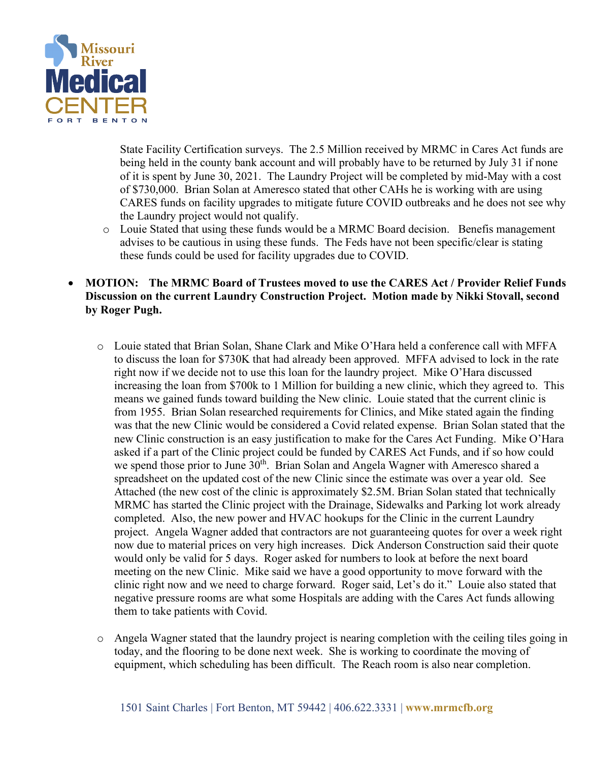

State Facility Certification surveys. The 2.5 Million received by MRMC in Cares Act funds are being held in the county bank account and will probably have to be returned by July 31 if none of it is spent by June 30, 2021. The Laundry Project will be completed by mid-May with a cost of \$730,000. Brian Solan at Ameresco stated that other CAHs he is working with are using CARES funds on facility upgrades to mitigate future COVID outbreaks and he does not see why the Laundry project would not qualify.

o Louie Stated that using these funds would be a MRMC Board decision. Benefis management advises to be cautious in using these funds. The Feds have not been specific/clear is stating these funds could be used for facility upgrades due to COVID.

## • **MOTION: The MRMC Board of Trustees moved to use the CARES Act / Provider Relief Funds Discussion on the current Laundry Construction Project. Motion made by Nikki Stovall, second by Roger Pugh.**

- o Louie stated that Brian Solan, Shane Clark and Mike O'Hara held a conference call with MFFA to discuss the loan for \$730K that had already been approved. MFFA advised to lock in the rate right now if we decide not to use this loan for the laundry project. Mike O'Hara discussed increasing the loan from \$700k to 1 Million for building a new clinic, which they agreed to. This means we gained funds toward building the New clinic. Louie stated that the current clinic is from 1955. Brian Solan researched requirements for Clinics, and Mike stated again the finding was that the new Clinic would be considered a Covid related expense. Brian Solan stated that the new Clinic construction is an easy justification to make for the Cares Act Funding. Mike O'Hara asked if a part of the Clinic project could be funded by CARES Act Funds, and if so how could we spend those prior to June 30<sup>th</sup>. Brian Solan and Angela Wagner with Ameresco shared a spreadsheet on the updated cost of the new Clinic since the estimate was over a year old. See Attached (the new cost of the clinic is approximately \$2.5M. Brian Solan stated that technically MRMC has started the Clinic project with the Drainage, Sidewalks and Parking lot work already completed. Also, the new power and HVAC hookups for the Clinic in the current Laundry project. Angela Wagner added that contractors are not guaranteeing quotes for over a week right now due to material prices on very high increases. Dick Anderson Construction said their quote would only be valid for 5 days. Roger asked for numbers to look at before the next board meeting on the new Clinic. Mike said we have a good opportunity to move forward with the clinic right now and we need to charge forward. Roger said, Let's do it." Louie also stated that negative pressure rooms are what some Hospitals are adding with the Cares Act funds allowing them to take patients with Covid.
- o Angela Wagner stated that the laundry project is nearing completion with the ceiling tiles going in today, and the flooring to be done next week. She is working to coordinate the moving of equipment, which scheduling has been difficult. The Reach room is also near completion.